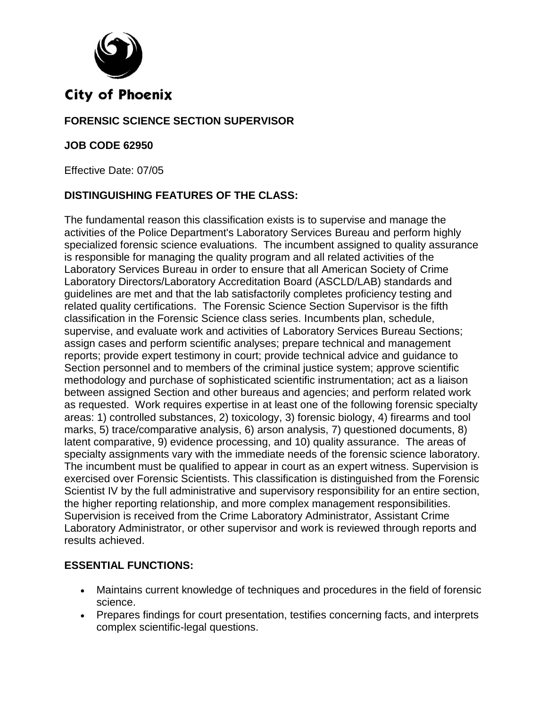

### **FORENSIC SCIENCE SECTION SUPERVISOR**

#### **JOB CODE 62950**

Effective Date: 07/05

### **DISTINGUISHING FEATURES OF THE CLASS:**

The fundamental reason this classification exists is to supervise and manage the activities of the Police Department's Laboratory Services Bureau and perform highly specialized forensic science evaluations. The incumbent assigned to quality assurance is responsible for managing the quality program and all related activities of the Laboratory Services Bureau in order to ensure that all American Society of Crime Laboratory Directors/Laboratory Accreditation Board (ASCLD/LAB) standards and guidelines are met and that the lab satisfactorily completes proficiency testing and related quality certifications. The Forensic Science Section Supervisor is the fifth classification in the Forensic Science class series. Incumbents plan, schedule, supervise, and evaluate work and activities of Laboratory Services Bureau Sections; assign cases and perform scientific analyses; prepare technical and management reports; provide expert testimony in court; provide technical advice and guidance to Section personnel and to members of the criminal justice system; approve scientific methodology and purchase of sophisticated scientific instrumentation; act as a liaison between assigned Section and other bureaus and agencies; and perform related work as requested. Work requires expertise in at least one of the following forensic specialty areas: 1) controlled substances, 2) toxicology, 3) forensic biology, 4) firearms and tool marks, 5) trace/comparative analysis, 6) arson analysis, 7) questioned documents, 8) latent comparative, 9) evidence processing, and 10) quality assurance. The areas of specialty assignments vary with the immediate needs of the forensic science laboratory. The incumbent must be qualified to appear in court as an expert witness. Supervision is exercised over Forensic Scientists. This classification is distinguished from the Forensic Scientist IV by the full administrative and supervisory responsibility for an entire section, the higher reporting relationship, and more complex management responsibilities. Supervision is received from the Crime Laboratory Administrator, Assistant Crime Laboratory Administrator, or other supervisor and work is reviewed through reports and results achieved.

#### **ESSENTIAL FUNCTIONS:**

- Maintains current knowledge of techniques and procedures in the field of forensic science.
- Prepares findings for court presentation, testifies concerning facts, and interprets complex scientific-legal questions.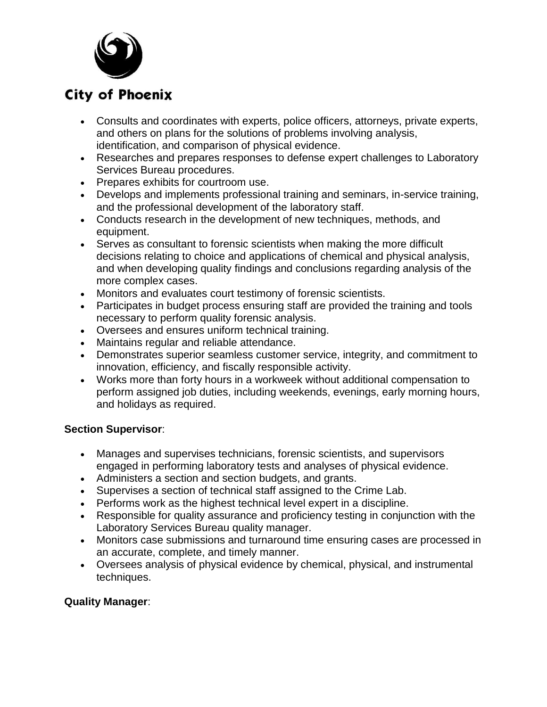

- Consults and coordinates with experts, police officers, attorneys, private experts, and others on plans for the solutions of problems involving analysis, identification, and comparison of physical evidence.
- Researches and prepares responses to defense expert challenges to Laboratory Services Bureau procedures.
- Prepares exhibits for courtroom use.
- Develops and implements professional training and seminars, in-service training, and the professional development of the laboratory staff.
- Conducts research in the development of new techniques, methods, and equipment.
- Serves as consultant to forensic scientists when making the more difficult decisions relating to choice and applications of chemical and physical analysis, and when developing quality findings and conclusions regarding analysis of the more complex cases.
- Monitors and evaluates court testimony of forensic scientists.
- Participates in budget process ensuring staff are provided the training and tools necessary to perform quality forensic analysis.
- Oversees and ensures uniform technical training.
- Maintains regular and reliable attendance.
- Demonstrates superior seamless customer service, integrity, and commitment to innovation, efficiency, and fiscally responsible activity.
- Works more than forty hours in a workweek without additional compensation to perform assigned job duties, including weekends, evenings, early morning hours, and holidays as required.

### **Section Supervisor**:

- Manages and supervises technicians, forensic scientists, and supervisors engaged in performing laboratory tests and analyses of physical evidence.
- Administers a section and section budgets, and grants.
- Supervises a section of technical staff assigned to the Crime Lab.
- Performs work as the highest technical level expert in a discipline.
- Responsible for quality assurance and proficiency testing in conjunction with the Laboratory Services Bureau quality manager.
- Monitors case submissions and turnaround time ensuring cases are processed in an accurate, complete, and timely manner.
- Oversees analysis of physical evidence by chemical, physical, and instrumental techniques.

## **Quality Manager**: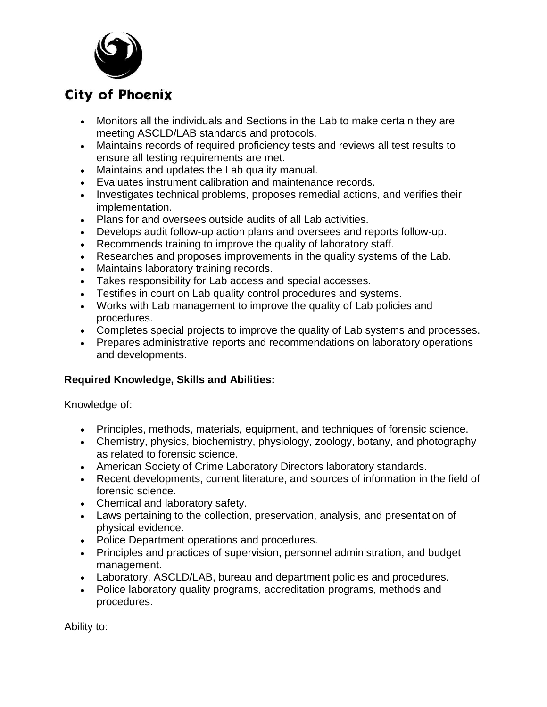

- Monitors all the individuals and Sections in the Lab to make certain they are meeting ASCLD/LAB standards and protocols.
- Maintains records of required proficiency tests and reviews all test results to ensure all testing requirements are met.
- Maintains and updates the Lab quality manual.
- Evaluates instrument calibration and maintenance records.
- Investigates technical problems, proposes remedial actions, and verifies their implementation.
- Plans for and oversees outside audits of all Lab activities.
- Develops audit follow-up action plans and oversees and reports follow-up.
- Recommends training to improve the quality of laboratory staff.
- Researches and proposes improvements in the quality systems of the Lab.
- Maintains laboratory training records.
- Takes responsibility for Lab access and special accesses.
- Testifies in court on Lab quality control procedures and systems.
- Works with Lab management to improve the quality of Lab policies and procedures.
- Completes special projects to improve the quality of Lab systems and processes.
- Prepares administrative reports and recommendations on laboratory operations and developments.

## **Required Knowledge, Skills and Abilities:**

Knowledge of:

- Principles, methods, materials, equipment, and techniques of forensic science.
- Chemistry, physics, biochemistry, physiology, zoology, botany, and photography as related to forensic science.
- American Society of Crime Laboratory Directors laboratory standards.
- Recent developments, current literature, and sources of information in the field of forensic science.
- Chemical and laboratory safety.
- Laws pertaining to the collection, preservation, analysis, and presentation of physical evidence.
- Police Department operations and procedures.
- Principles and practices of supervision, personnel administration, and budget management.
- Laboratory, ASCLD/LAB, bureau and department policies and procedures.
- Police laboratory quality programs, accreditation programs, methods and procedures.

Ability to: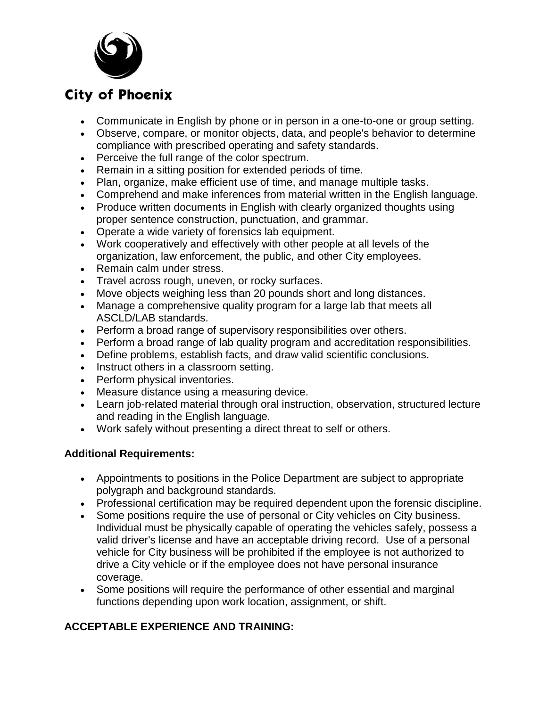

- Communicate in English by phone or in person in a one-to-one or group setting.
- Observe, compare, or monitor objects, data, and people's behavior to determine compliance with prescribed operating and safety standards.
- Perceive the full range of the color spectrum.
- Remain in a sitting position for extended periods of time.
- Plan, organize, make efficient use of time, and manage multiple tasks.
- Comprehend and make inferences from material written in the English language.
- Produce written documents in English with clearly organized thoughts using proper sentence construction, punctuation, and grammar.
- Operate a wide variety of forensics lab equipment.
- Work cooperatively and effectively with other people at all levels of the organization, law enforcement, the public, and other City employees.
- Remain calm under stress.
- Travel across rough, uneven, or rocky surfaces.
- Move objects weighing less than 20 pounds short and long distances.
- Manage a comprehensive quality program for a large lab that meets all ASCLD/LAB standards.
- Perform a broad range of supervisory responsibilities over others.
- Perform a broad range of lab quality program and accreditation responsibilities.
- Define problems, establish facts, and draw valid scientific conclusions.
- Instruct others in a classroom setting.
- Perform physical inventories.
- Measure distance using a measuring device.
- Learn job-related material through oral instruction, observation, structured lecture and reading in the English language.
- Work safely without presenting a direct threat to self or others.

### **Additional Requirements:**

- Appointments to positions in the Police Department are subject to appropriate polygraph and background standards.
- Professional certification may be required dependent upon the forensic discipline.
- Some positions require the use of personal or City vehicles on City business. Individual must be physically capable of operating the vehicles safely, possess a valid driver's license and have an acceptable driving record. Use of a personal vehicle for City business will be prohibited if the employee is not authorized to drive a City vehicle or if the employee does not have personal insurance coverage.
- Some positions will require the performance of other essential and marginal functions depending upon work location, assignment, or shift.

## **ACCEPTABLE EXPERIENCE AND TRAINING:**